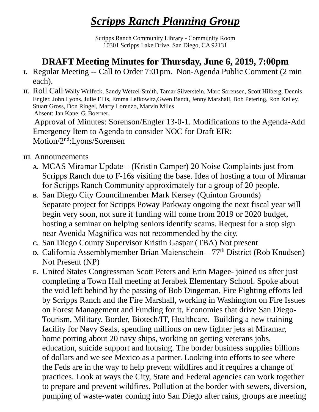## *Scripps Ranch Planning Group*

Scripps Ranch Community Library - Community Room 10301 Scripps Lake Drive, San Diego, CA 92131

## **DRAFT Meeting Minutes for Thursday, June 6, 2019, 7:00pm**

- **I.** Regular Meeting -- Call to Order 7:01pm. Non-Agenda Public Comment (2 min each).
- **II.** Roll Call:Wally Wulfeck, Sandy Wetzel-Smith, Tamar Silverstein, Marc Sorensen, Scott Hilberg, Dennis Engler, John Lyons, Julie Ellis, Emma Lefkowitz,Gwen Bandt, Jenny Marshall, Bob Petering, Ron Kelley, Stuart Gross, Don Ringel, Marty Lorenzo, Marvin Miles Absent: Jan Kane, G. Boerner,

Approval of Minutes: Sorenson/Engler 13-0-1. Modifications to the Agenda-Add Emergency Item to Agenda to consider NOC for Draft EIR: Motion/2nd:Lyons/Sorensen

## **III.** Announcements

- **A.** MCAS Miramar Update (Kristin Camper) 20 Noise Complaints just from Scripps Ranch due to F-16s visiting the base. Idea of hosting a tour of Miramar for Scripps Ranch Community approximately for a group of 20 people.
- **B.** San Diego City Councilmember Mark Kersey (Quinton Grounds) Separate project for Scripps Poway Parkway ongoing the next fiscal year will begin very soon, not sure if funding will come from 2019 or 2020 budget, hosting a seminar on helping seniors identify scams. Request for a stop sign near Avenida Magnifica was not recommended by the city.
- **C.** San Diego County Supervisor Kristin Gaspar (TBA) Not present
- **D.** California Assemblymember Brian Maienschein 77<sup>th</sup> District (Rob Knudsen) Not Present (NP)
- **E.** United States Congressman Scott Peters and Erin Magee- joined us after just completing a Town Hall meeting at Jerabek Elementary School. Spoke about the void left behind by the passing of Bob Dingeman, Fire Fighting efforts led by Scripps Ranch and the Fire Marshall, working in Washington on Fire Issues on Forest Management and Funding for it, Economies that drive San Diego-Tourism, Military. Border, Biotech/IT, Healthcare. Building a new training facility for Navy Seals, spending millions on new fighter jets at Miramar, home porting about 20 navy ships, working on getting veterans jobs, education, suicide support and housing. The border business supplies billions of dollars and we see Mexico as a partner. Looking into efforts to see where the Feds are in the way to help prevent wildfires and it requires a change of practices. Look at ways the City, State and Federal agencies can work together to prepare and prevent wildfires. Pollution at the border with sewers, diversion, pumping of waste-water coming into San Diego after rains, groups are meeting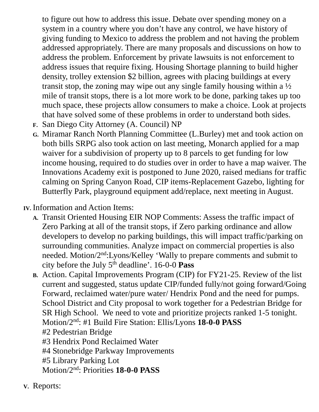to figure out how to address this issue. Debate over spending money on a system in a country where you don't have any control, we have history of giving funding to Mexico to address the problem and not having the problem addressed appropriately. There are many proposals and discussions on how to address the problem. Enforcement by private lawsuits is not enforcement to address issues that require fixing. Housing Shortage planning to build higher density, trolley extension \$2 billion, agrees with placing buildings at every transit stop, the zoning may wipe out any single family housing within a  $\frac{1}{2}$ mile of transit stops, there is a lot more work to be done, parking takes up too much space, these projects allow consumers to make a choice. Look at projects that have solved some of these problems in order to understand both sides.

- **F.** San Diego City Attorney (A. Council) NP
- **G.** Miramar Ranch North Planning Committee (L.Burley) met and took action on both bills SRPG also took action on last meeting, Monarch applied for a map waiver for a subdivision of property up to 8 parcels to get funding for low income housing, required to do studies over in order to have a map waiver. The Innovations Academy exit is postponed to June 2020, raised medians for traffic calming on Spring Canyon Road, CIP items-Replacement Gazebo, lighting for Butterfly Park, playground equipment add/replace, next meeting in August.

**IV.** Information and Action Items:

- **A.** Transit Oriented Housing EIR NOP Comments: Assess the traffic impact of Zero Parking at all of the transit stops, if Zero parking ordinance and allow developers to develop no parking buildings, this will impact traffic/parking on surrounding communities. Analyze impact on commercial properties is also needed. Motion/2nd:Lyons/Kelley 'Wally to prepare comments and submit to city before the July 5th deadline'. 16-0-0 **Pass**
- **B.** Action. Capital Improvements Program (CIP) for FY21-25. Review of the list current and suggested, status update CIP/funded fully/not going forward/Going Forward, reclaimed water/pure water/ Hendrix Pond and the need for pumps. School District and City proposal to work together for a Pedestrian Bridge for SR High School. We need to vote and prioritize projects ranked 1-5 tonight. Motion/2nd: #1 Build Fire Station: Ellis/Lyons **18-0-0 PASS** #2 Pedestrian Bridge
	- #3 Hendrix Pond Reclaimed Water
	- #4 Stonebridge Parkway Improvements
	- #5 Library Parking Lot
	- Motion/2nd: Priorities **18-0-0 PASS**
- **V.** Reports: